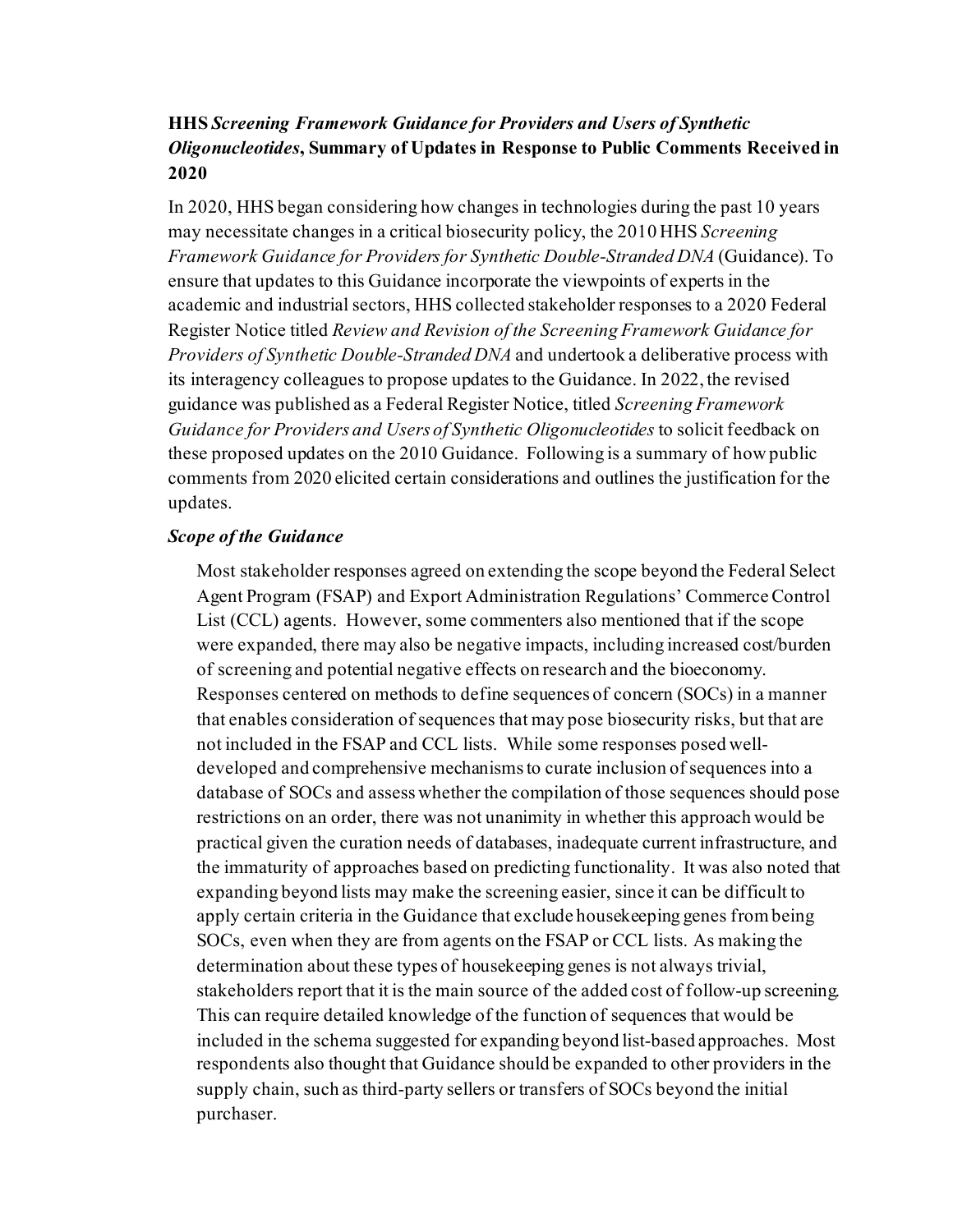# **HHS** *Screening Framework Guidance for Providers and Users of Synthetic Oligonucleotides***, Summary of Updates in Response to Public Comments Received in 2020**

In 2020, HHS began considering how changes in technologies during the past 10 years may necessitate changes in a critical biosecurity policy, the 2010 HHS *Screening Framework Guidance for Providers for Synthetic Double-Stranded DNA* (Guidance). To ensure that updates to this Guidance incorporate the viewpoints of experts in the academic and industrial sectors, HHS collected stakeholder responses to a 2020 Federal Register Notice titled *Review and Revision of the Screening Framework Guidance for Providers of Synthetic Double-Stranded DNA* and undertook a deliberative process with its interagency colleagues to propose updates to the Guidance. In 2022, the revised guidance was published as a Federal Register Notice, titled *Screening Framework Guidance for Providers and Users of Synthetic Oligonucleotides* to solicit feedback on these proposed updates on the 2010 Guidance. Following is a summary of how public comments from 2020 elicited certain considerations and outlines the justification for the updates.

## *Scope of the Guidance*

Most stakeholder responses agreed on extending the scope beyond the Federal Select Agent Program (FSAP) and Export Administration Regulations' Commerce Control List (CCL) agents. However, some commenters also mentioned that if the scope were expanded, there may also be negative impacts, including increased cost/burden of screening and potential negative effects on research and the bioeconomy. Responses centered on methods to define sequences of concern (SOCs) in a manner that enables consideration of sequences that may pose biosecurity risks, but that are not included in the FSAP and CCL lists. While some responses posed welldeveloped and comprehensive mechanisms to curate inclusion of sequences into a database of SOCs and assess whether the compilation of those sequences should pose restrictions on an order, there was not unanimity in whether this approach would be practical given the curation needs of databases, inadequate current infrastructure, and the immaturity of approaches based on predicting functionality. It was also noted that expanding beyond lists may make the screening easier, since it can be difficult to apply certain criteria in the Guidance that exclude housekeeping genes from being SOCs, even when they are from agents on the FSAP or CCL lists. As making the determination about these types of housekeeping genes is not always trivial, stakeholders report that it is the main source of the added cost of follow-up screening. This can require detailed knowledge of the function of sequences that would be included in the schema suggested for expanding beyond list-based approaches. Most respondents also thought that Guidance should be expanded to other providers in the supply chain, such as third-party sellers or transfers of SOCs beyond the initial purchaser.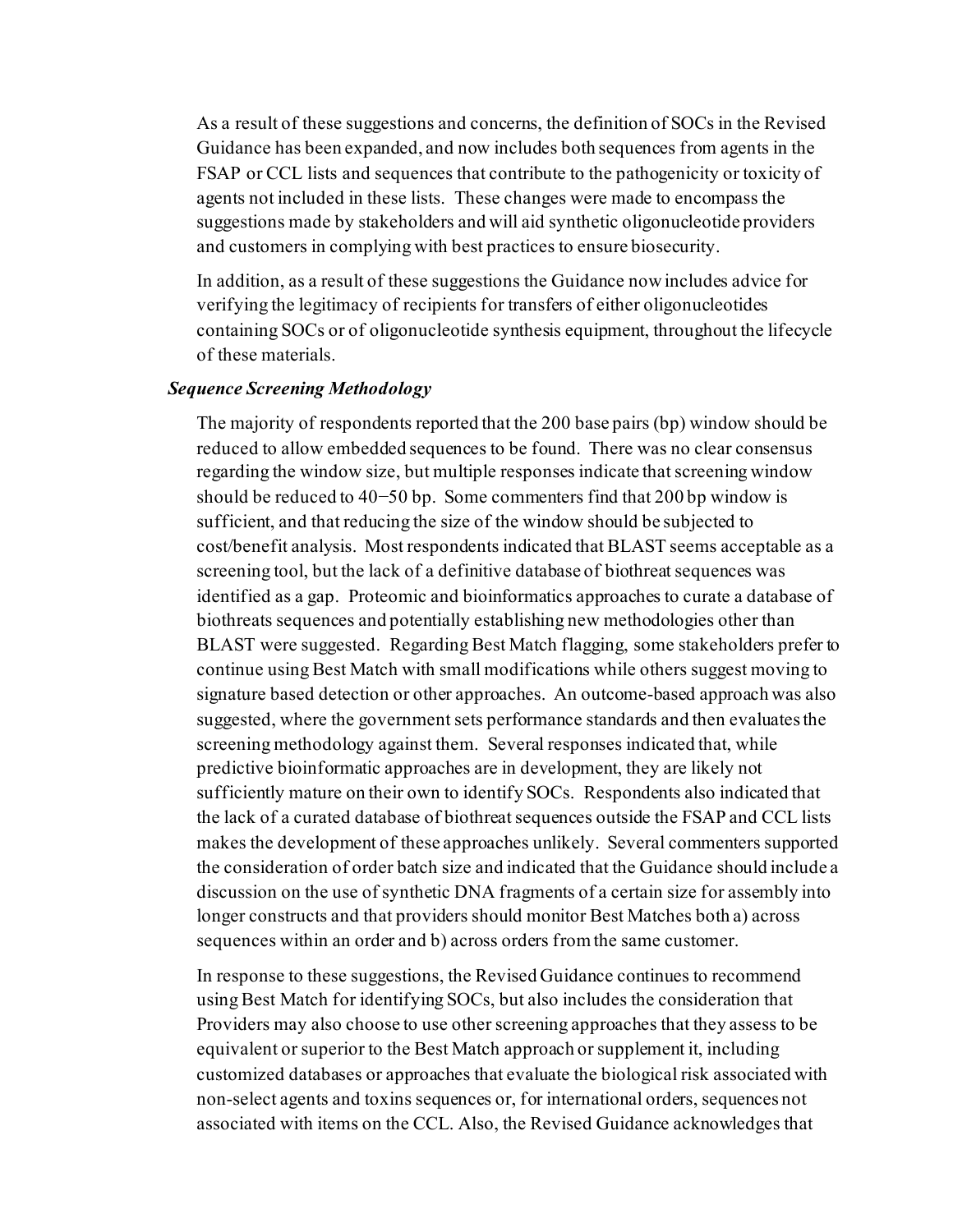As a result of these suggestions and concerns, the definition of SOCs in the Revised Guidance has been expanded, and now includes both sequences from agents in the FSAP or CCL lists and sequences that contribute to the pathogenicity or toxicity of agents not included in these lists. These changes were made to encompass the suggestions made by stakeholders and will aid synthetic oligonucleotide providers and customers in complying with best practices to ensure biosecurity.

In addition, as a result of these suggestions the Guidance now includes advice for verifying the legitimacy of recipients for transfers of either oligonucleotides containing SOCs or of oligonucleotide synthesis equipment, throughout the lifecycle of these materials.

## *Sequence Screening Methodology*

The majority of respondents reported that the 200 base pairs (bp) window should be reduced to allow embedded sequences to be found. There was no clear consensus regarding the window size, but multiple responses indicate that screening window should be reduced to 40−50 bp. Some commenters find that 200 bp window is sufficient, and that reducing the size of the window should be subjected to cost/benefit analysis. Most respondents indicated that BLAST seems acceptable as a screening tool, but the lack of a definitive database of biothreat sequences was identified as a gap. Proteomic and bioinformatics approaches to curate a database of biothreats sequences and potentially establishing new methodologies other than BLAST were suggested. Regarding Best Match flagging, some stakeholders prefer to continue using Best Match with small modifications while others suggest moving to signature based detection or other approaches. An outcome-based approach was also suggested, where the government sets performance standards and then evaluates the screening methodology against them. Several responses indicated that, while predictive bioinformatic approaches are in development, they are likely not sufficiently mature on their own to identify SOCs. Respondents also indicated that the lack of a curated database of biothreat sequences outside the FSAP and CCL lists makes the development of these approaches unlikely. Several commenters supported the consideration of order batch size and indicated that the Guidance should include a discussion on the use of synthetic DNA fragments of a certain size for assembly into longer constructs and that providers should monitor Best Matches both a) across sequences within an order and b) across orders from the same customer.

In response to these suggestions, the Revised Guidance continues to recommend using Best Match for identifying SOCs, but also includes the consideration that Providers may also choose to use other screening approaches that they assess to be equivalent or superior to the Best Match approach or supplement it, including customized databases or approaches that evaluate the biological risk associated with non-select agents and toxins sequences or, for international orders, sequences not associated with items on the CCL. Also, the Revised Guidance acknowledges that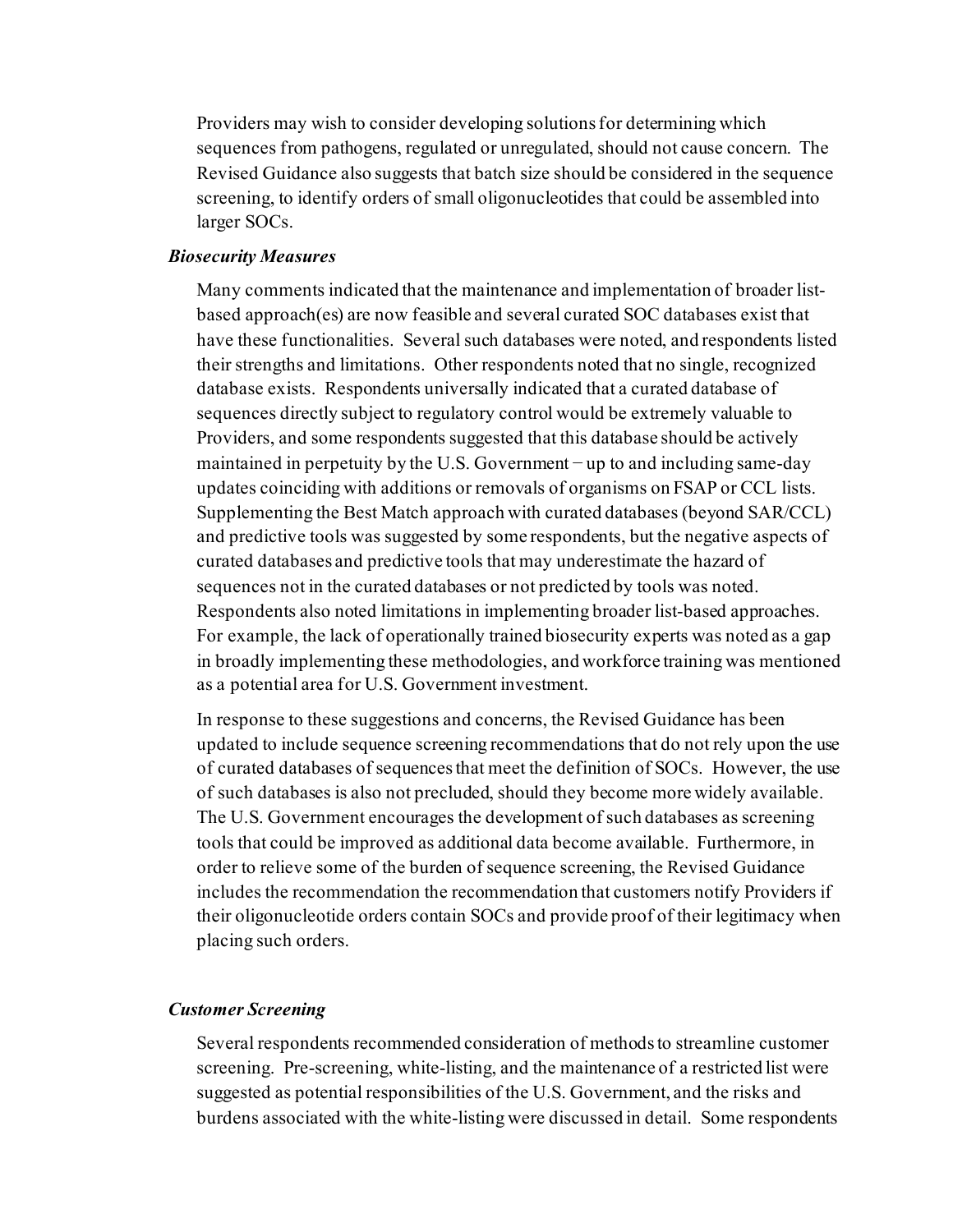Providers may wish to consider developing solutions for determining which sequences from pathogens, regulated or unregulated, should not cause concern. The Revised Guidance also suggests that batch size should be considered in the sequence screening, to identify orders of small oligonucleotides that could be assembled into larger SOCs.

#### *Biosecurity Measures*

Many comments indicated that the maintenance and implementation of broader listbased approach(es) are now feasible and several curated SOC databases exist that have these functionalities. Several such databases were noted, and respondents listed their strengths and limitations. Other respondents noted that no single, recognized database exists. Respondents universally indicated that a curated database of sequences directly subject to regulatory control would be extremely valuable to Providers, and some respondents suggested that this database should be actively maintained in perpetuity by the U.S. Government − up to and including same-day updates coinciding with additions or removals of organisms on FSAP or CCL lists. Supplementing the Best Match approach with curated databases (beyond SAR/CCL) and predictive tools was suggested by some respondents, but the negative aspects of curated databases and predictive tools that may underestimate the hazard of sequences not in the curated databases or not predicted by tools was noted. Respondents also noted limitations in implementing broader list-based approaches. For example, the lack of operationally trained biosecurity experts was noted as a gap in broadly implementing these methodologies, and workforce training was mentioned as a potential area for U.S. Government investment.

In response to these suggestions and concerns, the Revised Guidance has been updated to include sequence screening recommendations that do not rely upon the use of curated databases of sequences that meet the definition of SOCs. However, the use of such databases is also not precluded, should they become more widely available. The U.S. Government encourages the development of such databases as screening tools that could be improved as additional data become available. Furthermore, in order to relieve some of the burden of sequence screening, the Revised Guidance includes the recommendation the recommendation that customers notify Providers if their oligonucleotide orders contain SOCs and provide proof of their legitimacy when placing such orders.

# *Customer Screening*

Several respondents recommended consideration of methods to streamline customer screening. Pre-screening, white-listing, and the maintenance of a restricted list were suggested as potential responsibilities of the U.S. Government, and the risks and burdens associated with the white-listing were discussed in detail. Some respondents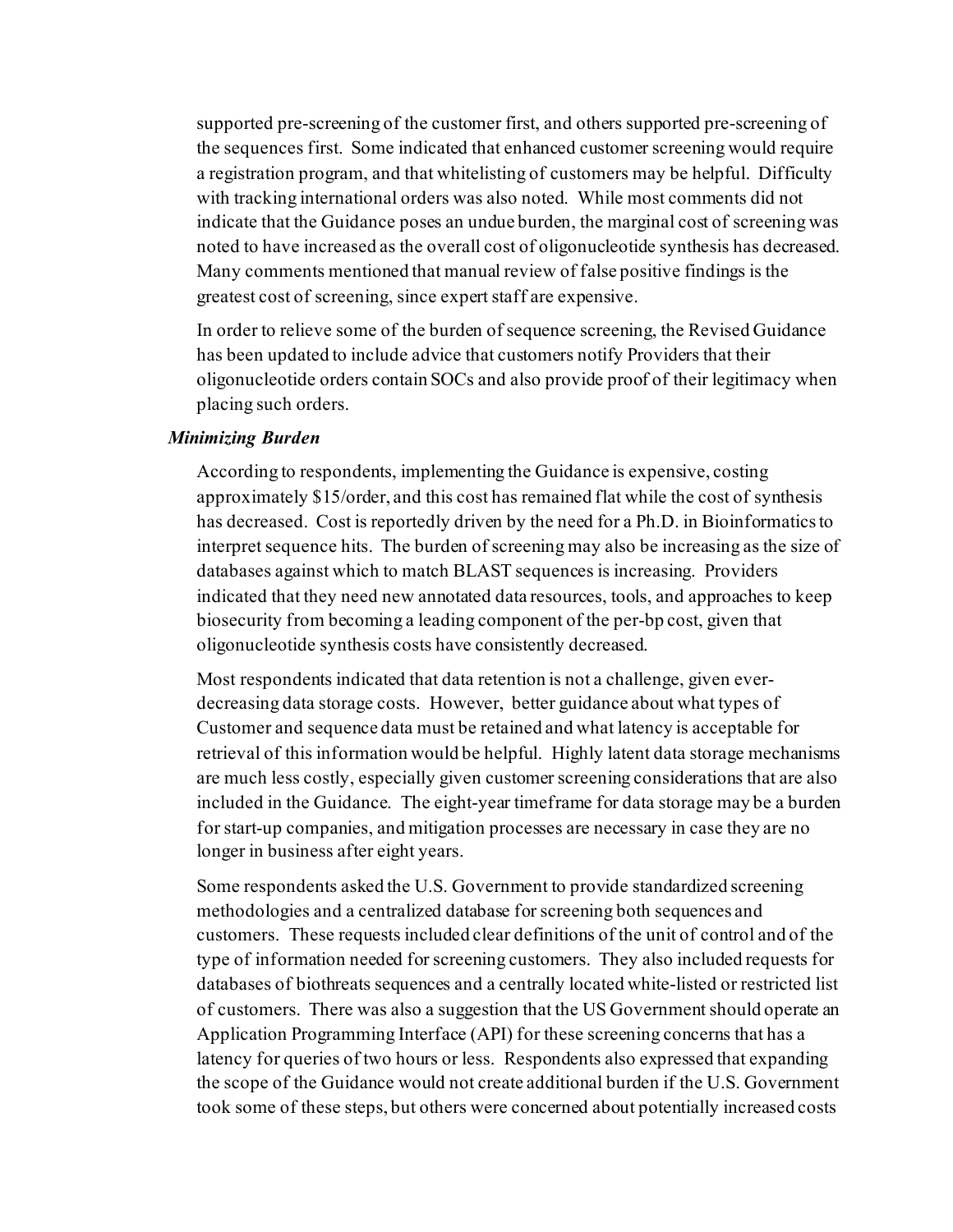supported pre-screening of the customer first, and others supported pre-screening of the sequences first. Some indicated that enhanced customer screening would require a registration program, and that whitelisting of customers may be helpful. Difficulty with tracking international orders was also noted. While most comments did not indicate that the Guidance poses an undue burden, the marginal cost of screening was noted to have increased as the overall cost of oligonucleotide synthesis has decreased. Many comments mentioned that manual review of false positive findings is the greatest cost of screening, since expert staff are expensive.

In order to relieve some of the burden of sequence screening, the Revised Guidance has been updated to include advice that customers notify Providers that their oligonucleotide orders contain SOCs and also provide proof of their legitimacy when placing such orders.

#### *Minimizing Burden*

According to respondents, implementing the Guidance is expensive, costing approximately \$15/order, and this cost has remained flat while the cost of synthesis has decreased. Cost is reportedly driven by the need for a Ph.D. in Bioinformatics to interpret sequence hits. The burden of screening may also be increasing as the size of databases against which to match BLAST sequences is increasing. Providers indicated that they need new annotated data resources, tools, and approaches to keep biosecurity from becoming a leading component of the per-bp cost, given that oligonucleotide synthesis costs have consistently decreased.

Most respondents indicated that data retention is not a challenge, given everdecreasing data storage costs. However, better guidance about what types of Customer and sequence data must be retained and what latency is acceptable for retrieval of this information would be helpful. Highly latent data storage mechanisms are much less costly, especially given customer screening considerations that are also included in the Guidance. The eight-year timeframe for data storage may be a burden for start-up companies, and mitigation processes are necessary in case they are no longer in business after eight years.

Some respondents asked the U.S. Government to provide standardized screening methodologies and a centralized database for screening both sequences and customers. These requests included clear definitions of the unit of control and of the type of information needed for screening customers. They also included requests for databases of biothreats sequences and a centrally located white-listed or restricted list of customers. There was also a suggestion that the US Government should operate an Application Programming Interface (API) for these screening concerns that has a latency for queries of two hours or less. Respondents also expressed that expanding the scope of the Guidance would not create additional burden if the U.S. Government took some of these steps, but others were concerned about potentially increased costs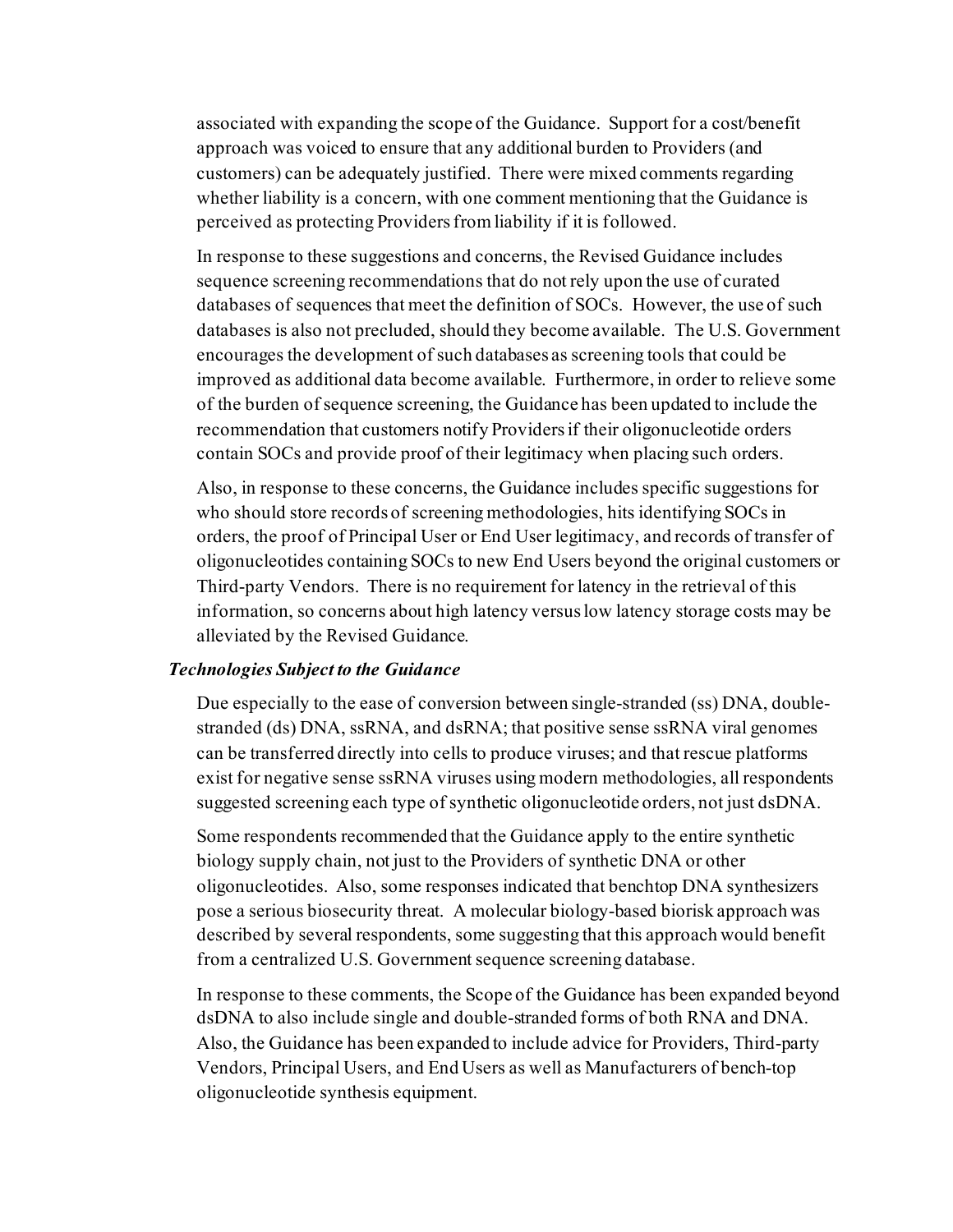associated with expanding the scope of the Guidance. Support for a cost/benefit approach was voiced to ensure that any additional burden to Providers (and customers) can be adequately justified. There were mixed comments regarding whether liability is a concern, with one comment mentioning that the Guidance is perceived as protecting Providers from liability if it is followed.

In response to these suggestions and concerns, the Revised Guidance includes sequence screening recommendations that do not rely upon the use of curated databases of sequences that meet the definition of SOCs. However, the use of such databases is also not precluded, should they become available. The U.S. Government encourages the development of such databases as screening tools that could be improved as additional data become available. Furthermore, in order to relieve some of the burden of sequence screening, the Guidance has been updated to include the recommendation that customers notify Providers if their oligonucleotide orders contain SOCs and provide proof of their legitimacy when placing such orders.

Also, in response to these concerns, the Guidance includes specific suggestions for who should store records of screening methodologies, hits identifying SOCs in orders, the proof of Principal User or End User legitimacy, and records of transfer of oligonucleotides containing SOCs to new End Users beyond the original customers or Third-party Vendors. There is no requirement for latency in the retrieval of this information, so concerns about high latency versus low latency storage costs may be alleviated by the Revised Guidance.

#### *Technologies Subject to the Guidance*

Due especially to the ease of conversion between single-stranded (ss) DNA, doublestranded (ds) DNA, ssRNA, and dsRNA; that positive sense ssRNA viral genomes can be transferred directly into cells to produce viruses; and that rescue platforms exist for negative sense ssRNA viruses using modern methodologies, all respondents suggested screening each type of synthetic oligonucleotide orders, not just dsDNA.

Some respondents recommended that the Guidance apply to the entire synthetic biology supply chain, not just to the Providers of synthetic DNA or other oligonucleotides. Also, some responses indicated that benchtop DNA synthesizers pose a serious biosecurity threat. A molecular biology-based biorisk approach was described by several respondents, some suggesting that this approach would benefit from a centralized U.S. Government sequence screening database.

In response to these comments, the Scope of the Guidance has been expanded beyond dsDNA to also include single and double-stranded forms of both RNA and DNA. Also, the Guidance has been expanded to include advice for Providers, Third-party Vendors, Principal Users, and End Users as well as Manufacturers of bench-top oligonucleotide synthesis equipment.